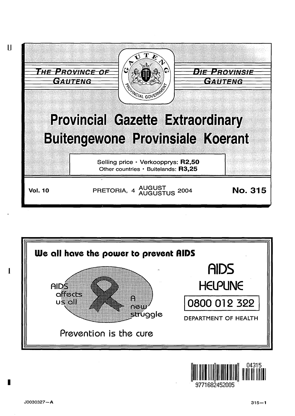





1

I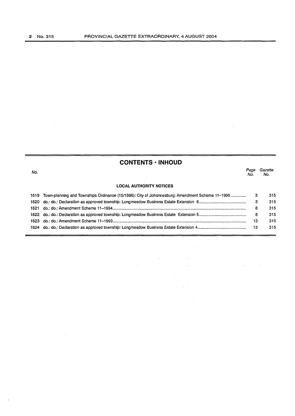$\sim$ 

## **CONTENTS • INHOUD**

 $\bar{\beta}$ 

 $\sim$   $\sim$ 

 $\mathcal{A}$ 

| No.   |                                                                                                 | Page<br>No. | Gazette<br>No. |
|-------|-------------------------------------------------------------------------------------------------|-------------|----------------|
|       | <b>LOCAL AUTHORITY NOTICES</b>                                                                  |             |                |
| 1619  | Town-planning and Townships Ordinance (15/1986): City of Johannesburg: Amendment Scheme 11–1995 |             | 315            |
|       |                                                                                                 |             | 315            |
| 1621. |                                                                                                 | 8           | 315            |
|       |                                                                                                 |             | 315            |
| 1623  |                                                                                                 | 13          | 315            |
|       |                                                                                                 | 13          | 315            |

 $\label{eq:2.1} \mathcal{L}(\mathcal{L}^{\text{max}}_{\text{max}}(\mathcal{L}^{\text{max}}_{\text{max}}), \mathcal{L}^{\text{max}}_{\text{max}}(\mathcal{L}^{\text{max}}_{\text{max}}))$ 

 $\mathcal{L}_{\text{max}}(\mathcal{F})$  ,  $\mathcal{L}_{\text{max}}$ 

 $\sim$   $\sim$ 

 $\sim 10^{11}$  km  $^{-1}$ 

 $\mathcal{F}(\mathcal{A})$  and  $\mathcal{F}(\mathcal{A})$  and  $\mathcal{F}(\mathcal{A})$ 

 $\mathcal{L}^{\pm}$ 

 $\mathcal{A}^{\mathcal{A}}_{\mathcal{A}}$  and  $\mathcal{A}^{\mathcal{A}}_{\mathcal{A}}$ 

 $\mathcal{L}^{\mathcal{L}}(\mathbf{a})$  , where  $\mathcal{L}^{\mathcal{L}}(\mathbf{a})$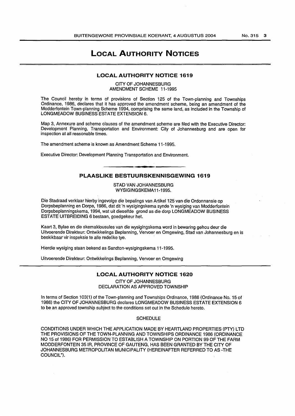# **LOCAL AUTHORITY NOTICES**

### **LOCAL AUTHORITY NOTICE 1619**

CITY OF JOHANNESBURG AMENDMENT SCHEME 11-1995

The Council hereby in terms of provisions of Section 125 of the Town-planning and Townships Ordinance, 1986, declares that it has approved the amendment scheme, being an amendment of the Modderfontein Town-planning Scheme 1994, comprising the same land, as included in the Township of LONGMEADOW BUSINESS ESTATE EXTENSION 6.

Map 3, Annexure and scheme clauses of the amendment scheme are filed with the Executive Director: Development Planning, Transportation and Environment: City of Johannesburg and are open for inspection at all reasonable times.

The amendment scheme is known as Amendment Scheme 11-1995.

Executive Director: Development Planning Transportation and Environment.

### **PLAASLIKE BESTUURSKENNISGEWING 1619**

STAD VAN JOHANNESBURG WYSIGINGSKEMA11-1995.

Die Stadraad verklaar hierby ingevolge die bepalings van Artikel 125 van die Ordonnansie op Dorpsbeplanning en Dorpe, 1986, dat dit 'n wysigingskema synde 'n wysiging van Modderfontein Dorpsbeplanningskema, 1994, wat uit dieselfde grond as die dorp LONGMEADOW BUSINESS ESTATE UITBREIDING 6 bestaan, goedgekeur het.

Kaart 3, Bylae en die skemaklousules van die wysigingskema word in bewaring gehou deur die Uitvoerende Direkteur: Ontwikkelings Beplanning, Vervoer en Omgewing, Stad van Johannesburg en is beskikbaar vir inspeksie te aile redelike tye.

Hierdie wysiging staan bekend as Sandton-wysigingskema 11-1995.

Uitvoerende Direkteur: Ontwikkelings Beplanning, Vervoer en Omgewing

### **LOCAL AUTHORITY NOTICE 1620**

CITY OF JOHANNESBURG DECLARATION AS APPROVED TOWNSHIP

In terms of Section 103(1) of the Town-planning and Townships Ordinance, 1986 (Ordinance No. 15 of 1986) the CITY OF JOHANNESBURG declares LONGMEADOW BUSINESS ESTATE EXTENSION 6 to be an approved township subject to the conditions set out in the Schedule hereto.

**SCHEDULE** 

CONDITIONS UNDER WHICH THE APPLICATION MADE BY HEARTLAND PROPERTIES (PTY) L TO THE PROVISIONS OF THE TOWN-PLANNING AND TOWNSHIPS ORDINANCE 1986 (ORDINANCE NO 15 of 1986) FOR PERMISSION TO ESTABLISH A TOWNSHIP ON PORTION 99 OF THE FARM MODDERFONTEIN 35 IR, PROVINCE OF GAUTENG, HAS BEEN GRANTED BY THE CITY OF JOHANNESBURG METROPOLITAN MUNICIPALITY (HEREINAFTER REFERRED TO AS -THE COUNCIL").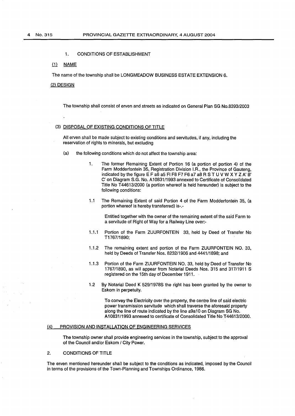#### 1. CONDITIONS OF ESTABLISHMENT

#### $(1)$ **NAME**

The name of the township shall be LONGMEADOW BUSINESS ESTATE EXTENSION 6.

### (2) DESIGN

The township shall consist of erven and streets as indicated on General Plan SG No.8393/2003

### (3) DISPOSAL OF EXISTING CONDITIONS OF TITLE

All erven shall be made subject to existing conditions and servitudes, if any, including the reservation of rights to minerals, but excluding

- (a) the following conditions which do not affect the township area:
	- 1. The former Remaining Extent of Portion 16 (a portion of portion 4) of the Farm Modderfontein 35, Registration Division l.R., the Province of Gauteng, indicated by the figure E F a6 a5 Fl F8 F7 F6 a7 a8 R STU V W X Y Z A' B' C' on Diagram S.G. No. A10831/1993 annexed to Certificate of Consolidated Title No T44613/2000 (a portion whereof is held hereunder) is subject to the following conditions:
	- 1.1 The Remaining Extent of said Portion 4 of the Farm Modderfontein 35, (a portion whereof is hereby transferred) is-.-

Entitled together with the owner of the remaining extent of the said Farm to a servitude of Right of Way for a Railway Line over:-

- 1.1.1 Portion of the Farm ZUURFONTEIN 33, held by Deed of Transfer No T1767/1890;
- 1.1.2 The remaining extent and portion of the Farm ZUURFONTEIN NO. 33, held by Deeds of Transfer Nos. 8232/1906 and 4441/1898; and
- 1.1.3 Portion of the Farm ZUURFONTEIN NO. 33, held by Deed of Transfer No 1767/1890, as will appear from Notarial Deeds Nos. 315 and 317/1911 S registered on the 15th day of December 1911.
- 1.2 By Notarial Deed K 529/1978S the right has been granted by the owner to Eskom in perpetuity.

To convey the Electricity over the property, the centre line of said electric power transmission servitude which shall traverse the aforesaid property along the line of route indicated by the line a9a10 on Diagram SG No. A10831/1993 annexed to certificate of Consolidated Title No T44613/2000.

#### (4) PROVISION AND INSTALLATION OF ENGINEERING SERVICES

The township owner shall provide engineering services in the township, subject to the approval of the Council and/or Eskom / City Power.

#### 2. CONDITIONS OF TITLE

The erven mentioned hereunder shall be subject to the conditions as indicated, imposed by the Council in terms of the provisions of the Town-Planning and Townships Ordinance, 1986.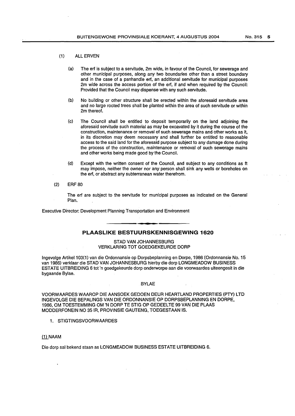#### (1) ALL ERVEN

- (a) The erf is subject to a servitude, 2m wide, in favour of the Council, for sewerage and other municipal purposes, along any two boundaries other than a street boundary and in the case of a panhandle erf, an additional servitude for municipal purposes 2m wide across the access portion of the erf, if and when required by the Council: Provided that the Council may dispense with any such servitude.
- (b) No building or other structure shall be erected within the aforesaid servitude area and no large rooted trees shall be planted within the area of such servitude or within 2m thereof.
- (c) The Council shall be entitled to deposit temporarily on the land adjoining the aforesaid servitude such material as may be excavated by it during the course of the construction, maintenance or removal of such sewerage mains and other works as it, in its discretion may deem necessary and shall further be entitled to reasonable access to the said land for the aforesaid purpose subject to any damage done during the process of the construction, maintenance or removal of such sewerage mains and other works being made good by the Council.
- (d) Except with the written consent of the Council, and subject to any conditions as ft may impose, neither the owner nor any person shall sink any wells or boreholes on the erf, or abstract any subterranean water therefrom.
- (2) ERF 80

The erf are subject to the servitude for municipal purposes as indicated on the General Plan.

Executive Director: Development Planning Transportation and Environment

### **PLAASLIKE BESTUURSKENNISGEWING 1620**

STAD VAN JOHANNESBURG VERKLARING TOT GOEDGEKEURDE DORP

lngevolge Artikel103(1) van die Ordonnansie op Dorpsbeplanning en Dorpe, 1986 (Ordonnansie No. 15 van 1986) verklaar die STAD VAN JOHANNESBURG hierby die dorp LONGMEADOW BUSINESS ESTATE UITBREIDING 6 tot 'n goedgekeurde dorp onderworpe aan die voorwaardes uiteengesit in die bygaande Bylae.

#### BYLAE

VOORWAARDES WAAROP DIE AANSOEK GEDOEN DEUR HEARTLAND PROPERTIES (PTY) LTD INGEVOLGE DIE BEPALINGS VAN DIE ORDONNANSIE OP DORPSBEPLANNING EN DORPE, 1986, OM TOESTEMMING OM 'N DORP TE STIG OP GEDEELTE 99 VAN DIE PLAAS MODDERFONEIN NO 351R, PROVINSIE GAUTENG, TOEGESTAAN IS.

1. STIGTINGSVOORWAARDES

#### (1) NAAM

Die dorp sal bekend staan as LONGMEADOW BUSINESS ESTATE UITBREIDING 6.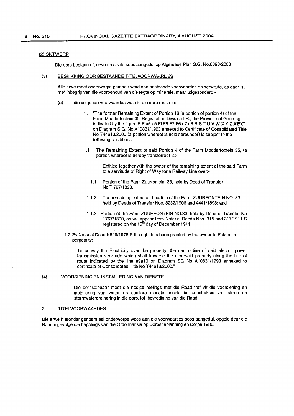#### (2) ONTWERP

Die dorp bestaan uft erwe en strate soos aangedui op Algemene Plan S.G. No.8393/2003

#### (3) BESKIKKING OOR BESTAANDE TITELVOORWAARDES

Aile erwe moet onderworpe gemaak word aan bestaande voorwaardes en serwitute, as daar is, met inbegrip van die voorbehoud van die regte op minerale, maar udgesonderd -

- (a) die volgende voorwaardes wat nie die dorp raak nie:
	- 1 . "The former Remaining Extent of Portion 16 (a portion of portion 4) of the Farm Modderfontein 35, Registration Division I.R., the Province of Gauteng, indicated by the figure E F a6 a5 Fl F8 F7 F6 a7 a8 R STU V W X Y Z A'B'C' on Diagram S.G. No A10831/1993 annexed to Certificate of Consolidated Title NoT 44613/2000 (a portion whereof is held hereunder) is subject to the following conditions
	- 1.1 The Remaining Extent of said Portion 4 of the Farm Modderfontein 35, (a portion whereof is hereby transferred) is:-

Entitled together with the owner of the remaining extent of the said Farm to a servitude of Right of Way for a Railway Line over:-

- 1.1.1 Portion of the Farm Zuurfontein 33, held by Deed of Transfer No.TI767/1890.
- 1.1.2 The remaining extent and portion of the Farm ZUURFONTEIN NO. 33, held by Deeds of Transfer Nos. 8232/1906 and 4441/1898; and
- 1.1.3. Portion of the Farm ZUURFONTEIN N0.33, held by Deed of Transfer No 1767/1890, as will appear from Notarial Deeds Nos. 315 and 317/1911 S registered on the 15<sup>th</sup> day of December 1911.
- 1.2 By Notarial Deed K529/1978 S the right has been granted by the owner to Eskom in perpetuity:

To convey the Electricity over the property, the centre line of said electric power transmission servitude which shall traverse the aforesaid property along the line of route indicated by the line a9a10 on Diagram SG No A10831/1993 annexed to certificate of Consolidated Title No T44613/2000."

#### (4) VOORSIENING EN INSTALLERING VAN DIENSTE

Die dorpseienaar moet die nodige reelings met die Raad tref vir die voorsiening en installering van water en sanitere dienste asook die konstruksie van strate en stormwaterdreinering in die dorp, tot bevrediging van die Raad.

#### 2. TITELVOORWAARDES

Die erwe hieronder genoem sal onderworpe wees aan die voorwaardes soos aangedui, opgele deur die Raad ingevolge die bepalings van die Ordonnansie op Dorpsbeplanning en Dorpe,1986.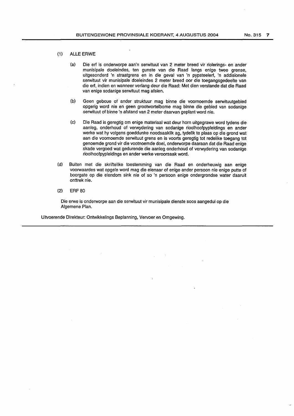- (1) ALLE ERWE
	- (a) Die erf is onderworpe aan'n serwituut van 2 meter breed vir riolerings- en ander munisipale doeleindes, ten gunste van die Raad langs enige twee grense, uitgesonderd 'n straatgrens en in die geval van 'n pypsteelerf, 'n addisionele serwituut vir munisipale doeleindes 2 meter breed oor die toegangsgedeelte van die erf, indien en wanneer verlang deur die Raad: Met dien verstande dat die Raad van enige sodanige serwituut mag afsien.
	- (b) Geen geboue of ander struktuur mag binne die voornoemde serwituutgebied opgerig word nie en geen grootwortelbome mag binne die gebied van sodanige serwituut of binne 'n afstand van 2 meter daarvan geplant word nie.
	- (c) Die Raad is geregtig om enige materiaal wat deur horn uitgegrawe word tydens die aanleg, onderhoud of verwydering van sodanige rioolhoofpypleidings en ander werke wat hy volgens goeddunke noodsaaklik ag, tydelik te plaas op die grond wat aan die voomoemde serwituut grens en is voorts geregtig tot redelike toegang tot genoemde grond vir die vootnoemde doel, onderworpe daaraan dat die Raad enige skade vergoed wat gedurende die aanleg onderhoud of verwydering van sodanige rioolhoofpypleidings en ander werke veroorsaak word.
- (d) Buiten met die skriftelike toestemming van die Raad en onderheuwig aan enige voorwaardes wat opgele word mag die eienaar of enige ander persoon nie enige putte of boorgate op die eiendom sink nie of so 'n persoon enige ondergrondse water daaruit onttrek nie.
- (2) ERF 80

Die erwe is onderworpe aan die serwituut vir munisipale dienste soos aangedui op die Algemene Plan.

Uitvoerende Direkteur: Ontwikkelings Beplanning, Vervoer en Omgewing.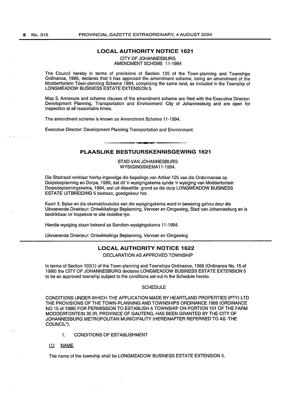المحادين

### **LOCAL AUTHORITY NOTICE 1621**

CITY OF JOHANNESBURG AMENDMENT SCHEME 11-1994

The Council hereby in terms of provisions of Section 125 of the Town-planning and Townships Ordinance, 1986, declares that it has approved the amendment scheme, being an amendment of the Modderfontein Town-planning Scheme 1994, comprising the same land, as included in the Township of LONGMEADOW BUSINESS ESTATE EXTENSION 5.

Map 3, Annexure and scheme clauses of the amendment scheme are filed with the Executive Director: Development Planning, Transportation and Environment: City of Johannesburg and are open for inspection at all reasonable times.

The amendment scheme is known as Amendment Scheme 11-1994.

Executive Director: Development Planning Transportation and Environment.

### **PLAASLIKE BESTUURSKENNISGEWING 1621**

STAD VAN JOHANNESBURG WYSIGINGSKEMA11-1994.

Die Stadraad verklaar hierby ingevolge die bepalings van Artikel 125 van die Ordonnansie op Dorpsbeplanning en Dorpe, 1986, dat dit 'n wysigingskema synde 'n wysiging van Modderfontein Dorpsbeplanningskema, 1994, wat uit dieselfde grand as die dorp LONGMEADOW BUSINESS ESTATE UITBREIDING 5 bestaan, goedgekeur het.

Kaart 3, Bylae en die skemaklousules van die wysigingskema word in bewaring gehou deur die Uitvoerende Direkteur: Ontwikkelings Beplanning, Vervoer en Omgewing, Stad van Johannesburg en is beskikbaar vir inspeksie te aile redelike tye.

Hierdie wysiging staan bekend as Sandton-wysigingskema 11-1994.

Uitvoerende Direkteur: Ontwikkelings Beplanning, Vervoer en Omgewing

### **LOCAL AUTHORITY NOTICE 1622**

DECLARATION AS APPROVED TOWNSHIP

In terms of Section 103(1) of the Town-planning and Townships Ordinance, 1986 (Ordinance No. 15 of 1986) the CITY OF JOHANNESBURG declares LONGMEADOW BUSINESS ESTATE EXTENSION 5 to be an approved township subject to the conditions set out in the Schedule hereto.

#### **SCHEDULE**

CONDITIONS UNDER WHICH THE APPLICATION MADE BY HEARTLAND PROPERTIES (PTY) LTD THE PROVISIONS OF THE TOWN-PLANNING AND TOWNSHIPS ORDINANCE 1986 (ORDINANCE NO 15 of 1986) FOR PERMISSION TO ESTABLISH A TOWNSHIP ON PORTION 101 OF THE FARM MODDERFONTEIN 35 IR, PROVINCE OF GAUTENG, HAS BEEN GRANTED BY THE CITY OF JOHANNESBURG METROPOLITAN MUNICIPALITY (HEREINAFTER REFERRED TO AS -THE COUNCIL").

- 1. CONDITIONS OF ESTABLISHMENT
- $(1)$ **NAME**

The name of the township shall be LONGMEADOW BUSINESS ESTATE EXTENSION 5.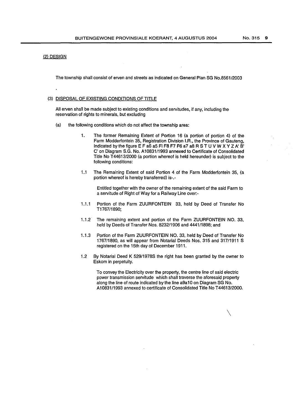#### (2) DESIGN

The township shall consist of erven and streets as indicated on General Plan SG No.8561/2003

### (3) DISPOSAL OF EXISTING CONDITIONS OF TITLE

All erven shall be made subject to existing conditions and servitudes, if any, including the reservation of rights to minerals, but excluding

- (a) the following conditions which do not affect the township area:
	- 1. The former Remaining Extent of Portion 16 (a portion of portion 4) of the Farm Modderfontein 35, Registration Division I.A., the Province of Gauteng, indicated by the figure E F a6 a5 Fl F8 F7 F6 a7 a8 R STU V W X Y Z A' B' C' on Diagram S.G. No. A10831/1993 annexed to Certificate of Consolidated Title No T 44613/2000 (a portion whereof is held hereunder) is subject to the following conditions:
	- 1.1 The Remaining Extent of said Portion 4 of the Farm Modderfontein 35, (a portion whereof is hereby transferred) is-.-

Entitled together with the owner of the remaining extent of the said Farm to a servitude of Right of Way for a Railway Line over:-

- 1.1.1 Portion of the Farm ZUURFONTEIN 33, held by Deed of Transfer No T1767!1890;
- 1.1.2 The remaining extent and portion of the Farm ZUURFONTEIN NO. 33, held by Deeds of Transfer Nos. 8232/1906 and 4441/1898; and
- 1.1.3 Portion of the Farm ZUURFONTEIN NO. 33, held by Deed of Transfer No 1767/1890, as will appear from Notarial Deeds Nos. 315 and 317/1911 S registered on the 15th day of December 1911.
- 1.2 By Notarial Deed K 529/1978S the right has been granted by the owner to Eskom in perpetuity.

To convey the Electricity over the property, the centre line of said electric power transmission servitude which shall traverse the aforesaid property along the line of route indicated by the line a9a10 on Diagram SG No. A10831/1993 annexed to certificate of Consolidated Title No T44613/2000.

 $\setminus$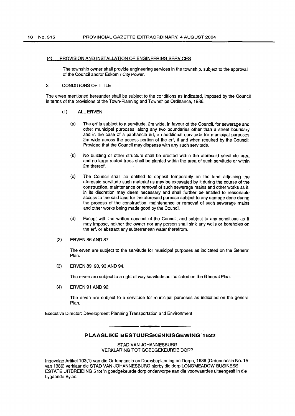#### (4) PROVISION AND INSTALLATION OF ENGINEERING SERVICES

The township owner shall provide engineering services in the township, subject to the approval of the Council and/or Eskom / City Power.

#### 2. CONDITIONS OF TITLE

The erven mentioned hereunder shall be subject to the conditions as indicated, imposed by the Council in terms of the provisions of the Town-Planning and Townships Ordinance, 1986.

### (1) ALL ERVEN

- (a) The erf is subject to a servitude, 2m wide, in favour of the Council, for sewerage and other municipal purposes, along any two boundaries other than a street boundary and in the case of a panhandle erf, an additional servitude for municipal purposes 2m wide across the access portion of the erf, if and when required by the Council: Provided that the Council may dispense with any such servitude.
- (b) No building or other structure shall be erected within the aforesaid servitude area and no large rooted trees shall be planted within the area of such servitude or within 2m thereof.
- (c) The Council shall be entitled to deposit temporarily on the land adjoining the aforesaid servitude such material as may be excavated by it during the course of the construction, maintenance or removal of such sewerage mains and other works as it, in its discretion may deem necessary and shall further be entitled to reasonable access to the said land for the aforesaid purpose subject to any damage done during the process of the construction, maintenance or removal of such sewerage mains and other works being made good by the Council.
- (d) Except with the written consent of the Council, and subject to any conditions as ft may impose, neither the owner nor any person shall sink any wells or boreholes on the erf, or abstract any subterranean water therefrom.
- (2) ERVEN 86 AND 87

The erven are subject to the servitude for municipal purposes as indicated on the General Plan.

(3) ERVEN 89, 90, 93 AND 94.

The erven are subject to a right of way servitude as indicated on the General Plan.

(4) ERVEN 91 AND 92

The erven are subject to a servitude for municipal purposes as indicated on the general Plan.

Executive Director: Development Planning Transportation and Environment

### **PLAASLIKE BESTUURSKENNISGEWING 1622**

STAD VAN JOHANNESBURG VERKLARING TOT GOEDGEKEURDE DORP

lngevolge Artikel1 03(1) van die Ordonnansie op Dorpsbeplanning en Dorpe, 1986 (Ordonnansie No. 15 van 1986) verklaar die STAD VAN JOHANNESBURG hierby die dorp LONGMEADOW BUSINESS ESTATE UITBREIDING 5 tot 'n goedgekeurde dorp onderworpe aan die voorwaardes uiteengesit in die bygaande Bylae.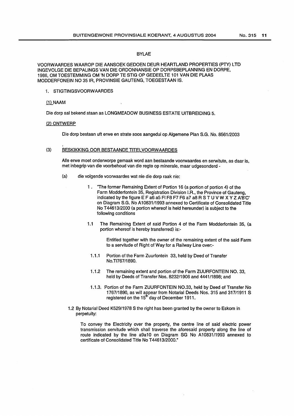### BYLAE

VOORW AARDES W AAROP DIE AANSOEK GEDOEN DEUR HEARTLAND PROPERTIES (PTY) LTD INGEVOLGE DIE BEPALINGS VAN DIE ORDONNANSIE OP DORPSBEPLANNING EN DORPE, 1986, OM TOESTEMMING OM 'N DORP TE STIG OP GEDEELTE 101 VAN DIE PLAAS MODDERFONEIN NO 351R, PROVINSIE GAUTENG, TOEGESTAAN IS.

1. STIGTINGSVOORWAARDES

#### (1) NAAM

Die dorp sal bekend staan as LONGMEADOW BUSINESS ESTATE UITBREIDING 5.

#### (2) ONTWERP

Die dorp bestaan uft erwe en strate soos aangedui op Algemene Plan S.G. No. 8561/2003

### (3) BESKIKKING OOR BESTAANDE TITELVOORWAARDES

Aile erwe moet onderworpe gemaak word aan bestaande voorwaardes en serwitute, as daar is, met inbegrip van die voorbehoud van die regte op minerale, maar udgesonderd -

- (a) die volgende voorwaardes wat nie die dorp raak nie:
	- 1 . "The former Remaining Extent of Portion 16 (a portion of portion 4) of the Farm Modderfontein 35, Registration Division I.R., the Province of Gauteng, indicated by the figure E F a6 a5 Fl F8 F7 F6 a7 a8 R STU V W X Y Z A'B'C' on Diagram S.G. No A10831/1993 annexed to Certificate of Consolidated Title NoT 44613/2000 (a portion whereof is held hereunder) is subject to the following conditions
	- 1.1 The Remaining Extent of said Portion 4 of the Farm Modderfontein 35, (a portion whereof is hereby transferred) is:-

Entitled together with the owner of the remaining extent of the said Farm to a servitude of Right of Way for a Railway Line over:-

- 1.1.1 Portion of the Farm Zuurfontein 33, held by Deed of Transfer No.TI767/1890.
- 1.1.2 The remaining extent and portion of the Farm ZUURFONTEIN NO. 33, held by Deeds of Transfer Nos. 8232/1906 and 4441/1898; and
- 1.1.3. Portion of the Farm ZUURFONTEIN N0.33, held by Deed of Transfer No 1767/1890, as will appear from Notarial Deeds Nos. 315 and 317/1911 S registered on the 15<sup>th</sup> day of December 1911.
- 1.2 By Notarial Deed K529/1978 S the right has been granted by the owner to Eskom in perpetuity:

To convey the Electricity over the property, the centre line of said electric power transmission servitude which shall traverse the aforesaid property along the line of route indicated by the line a9a10 on Diagram SG No A10831/1993 annexed to certificate of Consolidated Title No T44613/2000."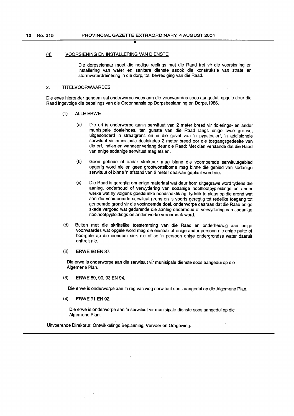•

#### (4) VOORSIENING EN INSTALLERING VAN DIENSTE

Die dorpseienaar moet die nodige reelings met die Raad tref vir die voorsiening en installering van water en sanitere dienste asook die konstruksie van strate en stormwaterdreinering in die dorp, tot bevrediging van die Raad.

### 2. TITELVOORW AARDES

Die erwe hieronder genoem sal onderworpe wees aan die voorwaardes soos aangedui, opgele deur die Raad ingevolge die bepalings van die Ordonnansie op Dorpsbeplanning en Dorpe, 1986.

- (1) ALLE ERWE
	- (a) Die erf is onderworpe aan'n serwituut van 2 meter breed vir riolerings- en ander munisipale doeleindes, ten gunste van die Raad langs enige twee grense, uitgesonderd 'n straatgrens en in die geval van 'n pypsteelerf, 'n addisionele serwituut vir munisipale doeleindes 2 meter breed oor die toegangsgedeelte van die erf, indien en wanneer verlang deur die Raad: Met dien verstande dat die Raad van enige sodanige serwituut mag afsien.
	- (b) Geen geboue of ander struktuur mag binne die voornoemde serwituutgebied opgerig word nie en geen grootwortelbome mag binne die gebied van sodanige serwituut of binne 'n afstand van 2 meter daarvan geplant word nie.
	- (c) Die Raad is geregtig om enige materiaal wat deur horn uitgegrawe word tydens die aanleg, onderhoud of verwydering van sodanige rioolhoofpypleidings en ander werke wat hy volgens goeddunke noodsaaklik ag, tydelik te plaas op die grond wat aan die voomoemde serwituut grens en is voorts geregtig tot redelike toegang tot genoemde grond vir die vootnoemde doel, onderworpe daaraan dat die Raad enige skade vergoed wat gedurende die aanleg onderhoud of verwydering van sodanige rioolhoofpypleidings en ander werke veroorsaak word.
- (d) Buiten met die skriftelike toestemming van die Raad en onderheuwig aan enige voorwaardes wat opgele word mag die eienaar of enige ander persoon nie enige putte of boorgate op die eiendom sink nie of so 'n persoon enige ondergrondse water daaruit onttrek nie.
- (2) ERWE 86 EN 87.

Die erwe is onderworpe aan die serwituut vir munisipale dienste soos aangedui op die Algemene Plan.

(3) ERWE 89, 90, 93 EN 94.

Die erwe is onderworpe aan 'n reg van weg serwituut soos aangedui op die Algemene Plan.

(4) ERWE 91 EN 92.

Die erwe is onderworpe aan 'n serwituut vir munisipale dienste soos aangedui op die Algemene Plan.

Uitvoerende Direkteur: Ontwikkelings Beplanning, Vervoer en Omgewing.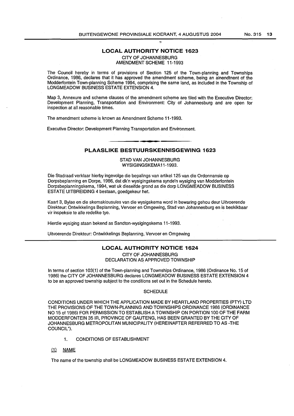### **LOCAL AUTHORITY NOTICE 1623**

CITY OF JOHANNESBURG

AMENDMENT SCHEME 11-1993

The Council hereby in terms of provisions of Section 125 of the Town-planning and Townships Ordinance, 1 986, declares that it has approved the amendment scheme, being an ainendtnent of the Moddertontein Town-planning Scheme 1994, comprising the sarne land, as included in the Township of LONGMEADOW BUSINESS ESTATE EXTENSION 4.

Map 3, Annexure and scheme clauses of the amendment scheme are filed with the Executive Director: Development Planning, Transportation and Environment: City of Johannesburg and are open for inspection at all reasonable times.

The amendment scheme is known as Amendment Scheme 11-1993.

Executive Director: Development Planning Transportation and Environment.

## **PLAASLIKE BESTUURSKENNISGEWING 1623**

STAD VAN JOHANNESBURG WYSIGINGSKEMA11-1993.

Die Stadraad verklaar hierby ingevolge die bepalings van artikel 125 van die Ordonnansie op Dorpsbeplanning en Dorpe, 1986, dat dk'n wysigingskema synde'n wysiging van Modderfontein Dorpsbeplanningskema, 1994, wat uk dieseifde grond as die dorp LONGMEADOW BUSINESS ESTATE UITBREIDING 4 bestaan, goedgekeur het.

Kaart 3, Bylae en die skemakiousules van die wysigskema word in bewaring gehou deur Uitvoerende Direkteur: Ontwikkelings Beplanning, Vervoer en Omgewing, Stad van Johannesburg en is beskikbaar vir inspeksie te alle redelike tye.

Hierdie wysiging staan bekend as Sandton-wysigingskema 11-1993.

Uitvoerende Direkteur: Ontwikkelings Beplanning, Vervoer en Omgewing

### **LOCAL AUTHORITY NOTICE 1624**

CITY OF JOHANNESBURG DECLARATION AS APPROVED TOWNSHIP

In terms of section 103(1) of the Town-planning and Townships Ordinance, 1986 (Ordinance No. 15 of 1986) the CITY OF JOHANNESBURG declares LONGMEADOW BUSINESS ESTATE EXTENSION 4 to be an approved township subject to the conditions set out in the Schedule hereto.

#### **SCHEDULE**

CONDITIONS UNDER WHICH THE APPLICATION MADE BY HEARTLAND PROPERTIES (PTY) LTD THE PROVISIONS OF THE TOWN-PLANNING AND TOWNSHIPS ORDINANCE 1986 (ORDINANCE NO 15 of 1986) FOR PERMISSION TO ESTABLISH A TOWNSHIP ON PORTION 100 OF THE FARM MODDERFONTEIN 35 IR, PROVINCE OF GAUTENG, HAS BEEN GRANTED BY THE CITY OF JOHANNESBURG METROPOLITAN MUNICIPALITY (HEREINAFTER REFERRED TO AS -THE COUNCIL").

- 1. CONDITIONS OF ESTABLISHMENT
- (1) NAME

The name of the township shall be LONGMEADOW BUSINESS ESTATE EXTENSION 4.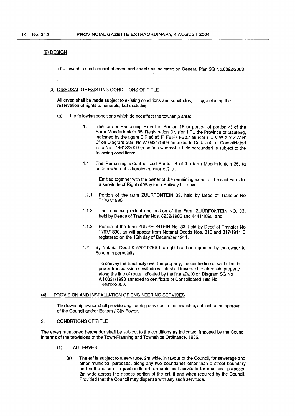### {2) DESIGN

The township shall consist of erven and streets as indicated on General Plan SG No.8392/2003

### {3) DISPOSAL OF EXISTING CONDITIONS OF TITLE

All erven shall be made subject to existing conditions and servitudes, if any, including the reservation of rights to minerals, but excluding

- (a) the following conditions which do not affect the township area:
	- 1. The former Remaining Extent of Portion 16 {a portion of portion 4) of the Farm Modderfontein 35, Registration Division I.R., the Province of Gauteng, indicated by the figure E F a6 a5 Fl F8 F7 F6 a7 a8 R STU V W X Y Z A' B' C' on Diagram S.G. No A10831/1993 annexed to Certificate of Consolidated Title No T 44613/2000 {a portion whereof is held hereunder) is subject to the following conditions:
	- 1.1 The Remaining Extent of said Portion 4 of the farm Modderfontein 35, (a portion whereof is hereby transferred) is-.-

Entitled together with the owner· of the remaining extent of the said Farm to a servitude of Right of Way for a Railway Line over:-

- 1.1.1 Portion of the farm ZUURFONTEIN 33, held by Deed of Transfer No T1767/1890;
- 1.1.2 The remaining extent and portion of the Farm ZUURFONTEIN NO. 33, held by Deeds of Transfer Nos. 8232/1906 and 4441/1898; and
- 1.1.3 Portion of the farm ZUURFONTEIN No. 33, held by Deed of Transfer No 1767/1890, as will appear from Notarial Deeds Nos. 315 and 317/1911 S registered on the 15th day of December 1911.
- 1.2 By Notarial Deed K 529/19788 the right has been granted by the owner to Eskom in perpetuity.

To convey the Electricity over the property, the centre line of said electric power transmission servitude which shall traverse the aforesaid property along the line of route indicated by the line a9a10 on Diagram SG No A I 0831/1993 annexed to certificate of Consolidated Title No T44613/2000.

#### {4) PROVISION AND INSTALLATION OF ENGINEERING SERVICES

The township owner shall provide engineering services in the township, subject to the approval of the Council and/or Eskom / City Power.

### 2. CONDRTIONS OF TITLE

The erven mentioned hereunder shall be subject to the conditions as indicated, imposed by the Council in terms of the provisions of the Town-Planning and Townships Ordinance, 1986.

- {1) ALL ERVEN
	- {a) The erf is subject to a servitude, 2m wide, in favour of the Council, for sewerage and other municipal purposes, along any two boundaries other than a street boundary and in the case of a panhandle erf, an additional servitude for municipal purposes 2m wide across the access portion of the erf, if and when required by the Council: Provided that the Council may dispense with any such servitude.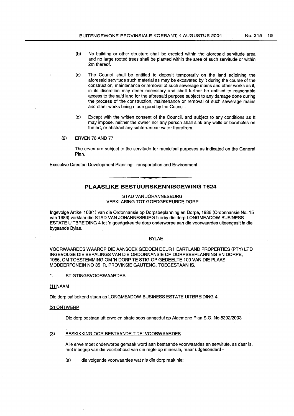- (b) No building or other structure shall be erected within the aforesaid servitude area and no large rooted trees shall be planted within the area of such servitude or within 2m thereof.
- (c) The Council shall be entitled to deposit temporarily on the land adjoining the aforesaid servitude such material as may be excavated by it during the course of the construction, maintenance or removal of such sewerage mains and other works as it, in its discretion may deem necessary and shall further be entitled to reasonable access to the said land for the aforesaid purpose subject to any damage done during the process of the construction, maintenance or removal of such sewerage mains and other works being made good by the Council.
- (d) Except with the written consent of the Council, and subject to any conditions as ft may impose, neither the owner nor any person shall sink any wells or boreholes on the erf, or abstract any subterranean water therefrom.
- (2) ERVEN 76 AND 77

The erven are subject to the servitude for municipal purposes as indicated on the General Plan.

Executive Director: Development Planning Transportation and Environment

### **PLAASLIKE BESTUURSKENNISGEWING 1624**

#### STAD VAN JOHANNESBURG VERKLARING TOT GOEDGEKEURDE DORP

lngevolge Artikel103(1) van die Ordonnansie op Dorpsbeplanning en Dorpe, 1986 (Ordonnansie No. 15 van 1986) verklaar die STAD VAN JOHANNESBURG hierby die dorp LONGMEADOW BUSINESS ESTATE UITBREIDING 4 tot 'n goedgekeurde dorp onderworpe aan die voorwaardes uiteengesit in die bygaande Bylae.

#### BYLAE

VOORWAARDES WAAROP DIE AANSOEK GEDOEN DEUR HEARTLAND PROPERTIES (PTY) LTD INGEVOLGE DIE BEPALINGS VAN DIE ORDONNANSIE OP DORPSBEPLANNING EN DORPE, 1986, OM TOESTEMMING OM 'N DORP TE STIG OP GEDEELTE 100 VAN DIE PLAAS MODDERFONEIN NO 351R, PROVINSIE GAUTENG, TOEGESTAAN IS.

1. STIGTINGSVOORW AARDES

### (1) NAAM

Die dorp sal bekend staan as LONGMEADOW BUSINESS ESTATE UITBREIDING 4.

#### (2) ONTWERP

Die dorp bestaan uft erwe en strate soos aangedui op Algemene Plan S.G. No.8392/2003

#### (3) BESKIKKING OOR BESTAANDE TITELVOORWAARDES

Aile erwe moet onderworpe gemaak word aan bestaande voorwaardes en serwitute, as daar is, met inbegrip van die voorbehoud van die regte op minerale, maar udgesonderd -

(a) die volgende voorwaardes wat nie die dorp raak nie: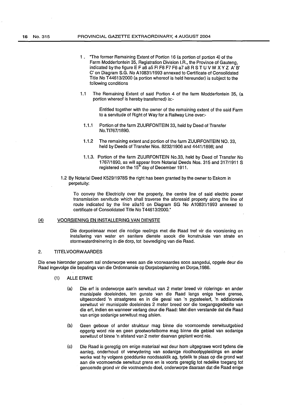- 1 . "The former Remaining Extent of Portion 16 (a portion of portion 4) of the Farm Modderfontein 35, Registration Division I.A., the Province of Gauteng, indicated by the figure E F a6 a5 FI F8 F7 F6 a7 a8 R S T U V W X Y Z A' B' C' on Diagram S.G. No A10831/1993 annexed to Certificate of Consolidated Title No T44613/2000 (a portion whereof is held hereunder) is subject to the following conditions
- 1.1 The Remaining Extent of said Portion 4 of the farm Modderfontein 35, (a portion whereof is hereby transferred) is:-

Entitled together with the owner of the remaining extent of the said Farm to a servitude of Right of Way for a Railway Line over:-

- 1.1.1 Portion of the farm ZUURFONTEIN 33, held by Deed of Transfer No.TI767/1890.
- 1.1.2 The remaining extent and portion of the farm ZUURFONTEIN NO. 33, held by Deeds of Transfer Nos. 8232/1906 and 4441/1898; and
- 1.1.3. Portion of the farm ZUURFONTEIN No.33, held by Deed of Transfer No 1767/1890, as will appear from Notarial Deeds Nos. 315 and 317/1911 S registered on the  $15<sup>th</sup>$  day of December 1911.
- 1.2 By Notarial Deed K529/1978S the right has been granted by the owner to Eskom in perpetuity:

To convey the Electricity over the property, the centre line of said electric power transmission servitude which shall traverse the aforesaid property along the line of route indicated by the line a9a10 on Diagram SG No A10831/1993 annexed to certificate of Consolidated Title No T44613/2000."

#### @ VOORSIENING EN INSTALLERING VAN DIENSTE

Die dorpseienaar moet die nodige reelings met die Raad tref vir die voorsiening en installering van water en sanitere dienste asook die konstruksie van strate en stormwaterdreinering in die dorp, tot bevrediging van die Raad.

### 2. TITELVOORWAARDES

Die erwe hieronder genoem sal onderworpe wees aan die voorwaardes soos aangedui, opgele deur die Raad ingevolge die bepalings van die Ordonnansie op Dorpsbeplanning en Dorpe, 1986.

- (1) ALLE ERWE
	- (a) Die erf is onderworpe aan'n serwituut van 2 meter breed vir riolerings- en ander munisipale doeleindes, ten gunste van die Raad langs enige twee grense, uitgesonderd 'n straatgrens en in die geval van 'n pypsteelerf, 'n addisionele serwituut vir munisipale doeleindes 2 meter breed oor die toegangsgedeelte van die erf, indien en wanneer verlang deur die Raad: Met dien verstande dat die Raad van enige sodanige serwituut mag afsien.
	- (b) Geen geboue of ander struktuur mag binne die voornoemde serwituutgebied opgerig word nie en geen grootwortelbome mag binne die gebied van sodanige serwituut of binne 'n afstand van 2 meter daarvan geplant word nie.
	- (c) Die Raad is geregtig om enige materiaal wat deur horn uitgegrawe word tydens die aanleg, onderhoud of verwydering van sodanige rioolhoofpypleidings en ander werke wat hy volgens goeddunke noodsaaklik ag, tydelik te plaas op die grond wat aan die voomoemde serwituut grens en is voorts geregtig tot redelike toegang tot genoemde grond vir die vootnoemde doel, onderworpe daaraan dat die Raad enige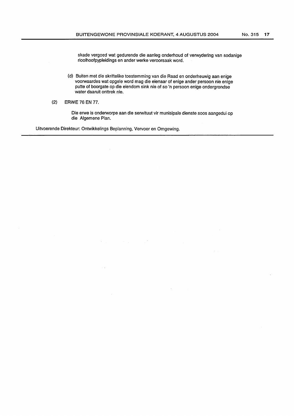skade vergoed wat gedurende die aanleg onderhoud of verwydering van sodanige rioolhoofpypleidings en ander werke veroorsaak word.

- (d) Buiten met die skriftelike toestemming van die Raad en onderheuwig aan enige voorwaardes wat opgele word mag die eienaar of enige ander persoon nie enige putte of boorgate op die eiendom sink nie of so 'n persoon enige ondergrondse water daaruit onttrek nie.
- (2) **ERWE 76 EN** 77.

Die erwe is onderworpe aan die serwituut vir munisipale dienste soos aangedui op die Algemene Plan.

Uitvoerende Direkteur: Ontwikkelings Beplanning, Vervoer en Omgewing.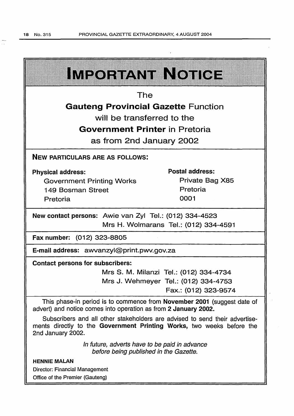$\frac{1}{\sqrt{2}}$ 

|                                                                                                                                                                           | IMPORTANT NOTICE                       |  |  |  |  |  |
|---------------------------------------------------------------------------------------------------------------------------------------------------------------------------|----------------------------------------|--|--|--|--|--|
| The                                                                                                                                                                       |                                        |  |  |  |  |  |
| <b>Gauteng Provincial Gazette Function</b>                                                                                                                                |                                        |  |  |  |  |  |
| will be transferred to the                                                                                                                                                |                                        |  |  |  |  |  |
| <b>Government Printer in Pretoria</b>                                                                                                                                     |                                        |  |  |  |  |  |
| as from 2nd January 2002                                                                                                                                                  |                                        |  |  |  |  |  |
| <b>NEW PARTICULARS ARE AS FOLLOWS:</b>                                                                                                                                    |                                        |  |  |  |  |  |
| <b>Physical address:</b>                                                                                                                                                  | Postal address:                        |  |  |  |  |  |
| <b>Government Printing Works</b>                                                                                                                                          | Private Bag X85                        |  |  |  |  |  |
| 149 Bosman Street                                                                                                                                                         | Pretoria                               |  |  |  |  |  |
| Pretoria                                                                                                                                                                  | 0001                                   |  |  |  |  |  |
| New contact persons: Awie van Zyl Tel.: (012) 334-4523<br>Mrs H. Wolmarans Tel.: (012) 334-4591                                                                           |                                        |  |  |  |  |  |
| Fax number: (012) 323-8805                                                                                                                                                |                                        |  |  |  |  |  |
| E-mail address: awvanzyl@print.pwv.gov.za                                                                                                                                 |                                        |  |  |  |  |  |
| <b>Contact persons for subscribers:</b>                                                                                                                                   |                                        |  |  |  |  |  |
|                                                                                                                                                                           | Mrs S. M. Milanzi Tel.: (012) 334-4734 |  |  |  |  |  |
|                                                                                                                                                                           | Mrs J. Wehmeyer Tel.: (012) 334-4753   |  |  |  |  |  |
|                                                                                                                                                                           | Fax.: (012) 323-9574                   |  |  |  |  |  |
| This phase-in period is to commence from November 2001 (suggest date of<br>advert) and notice comes into operation as from 2 January 2002.                                |                                        |  |  |  |  |  |
| Subscribers and all other stakeholders are advised to send their advertise-<br>ments directly to the Government Printing Works, two weeks before the<br>2nd January 2002. |                                        |  |  |  |  |  |
| In future, adverts have to be paid in advance<br>before being published in the Gazette.                                                                                   |                                        |  |  |  |  |  |
| <b>HENNIE MALAN</b>                                                                                                                                                       |                                        |  |  |  |  |  |
| Director: Financial Management<br>Office of the Premier (Gauteng)                                                                                                         |                                        |  |  |  |  |  |

 $\bar{z}$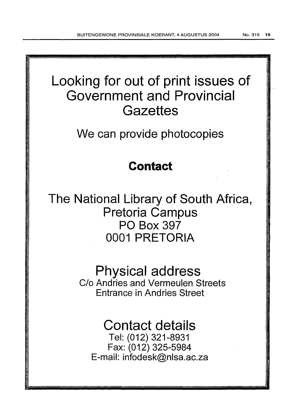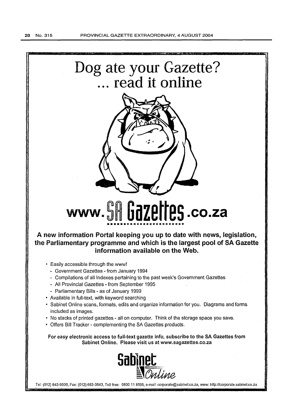

Tel: (012) 643-9500, Fax: (012) 663-3543, Toll free: 0800 11 8595, e-mail: corporate@sabinet.co.za, www: http://corporate.sabinet.co.za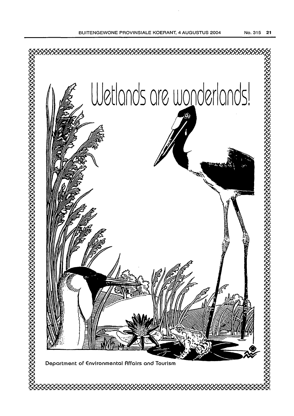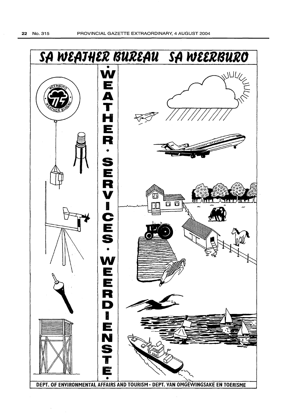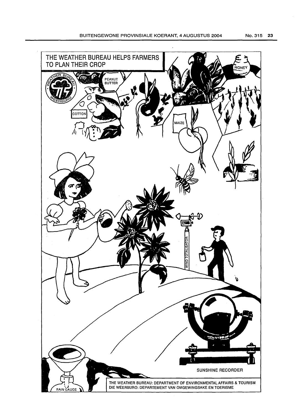